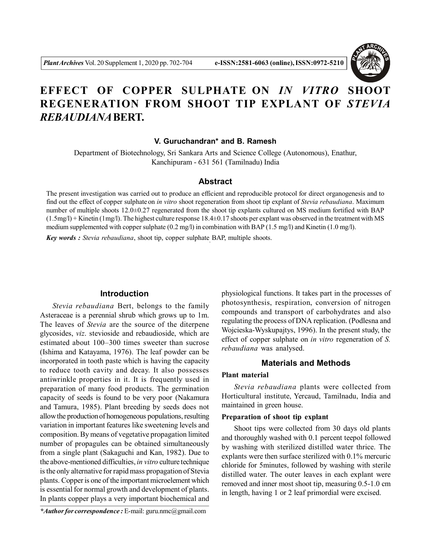

# **EFFECT OF COPPER SULPHATE ON** *IN VITRO* **SHOOT REGENERATION FROM SHOOT TIP EXPLANT OF** *STEVIA REBAUDIANA***BERT.**

## **V. Guruchandran\* and B. Ramesh**

Department of Biotechnology, Sri Sankara Arts and Science College (Autonomous), Enathur, Kanchipuram - 631 561 (Tamilnadu) India

## **Abstract**

The present investigation was carried out to produce an efficient and reproducible protocol for direct organogenesis and to find out the effect of copper sulphate on *in vitro* shoot regeneration from shoot tip explant of *Stevia rebaudiana*. Maximum number of multiple shoots 12.0±0.27 regenerated from the shoot tip explants cultured on MS medium fortified with BAP  $(1.5mg/l) +$  Kinetin  $(1mg/l)$ . The highest culture response 18.4 $\pm$ 0.17 shoots per explant was observed in the treatment with MS medium supplemented with copper sulphate (0.2 mg/l) in combination with BAP (1.5 mg/l) and Kinetin (1.0 mg/l).

*Key words : Stevia rebaudiana*, shoot tip, copper sulphate , BAP, multiple shoots.

### **Introduction**

*Stevia rebaudiana* Bert, belongs to the family Asteraceae is a perennial shrub which grows up to 1m. The leaves of *Stevia* are the source of the diterpene glycosides, *viz*. stevioside and rebaudioside, which are estimated about 100–300 times sweeter than sucrose (Ishima and Katayama, 1976). The leaf powder can be incorporated in tooth paste which is having the capacity to reduce tooth cavity and decay. It also possesses antiwrinkle properties in it. It is frequently used in preparation of many food products. The germination capacity of seeds is found to be very poor (Nakamura and Tamura, 1985). Plant breeding by seeds does not allow the production of homogeneous populations, resulting variation in important features like sweetening levels and composition. By means of vegetative propagation limited number of propagules can be obtained simultaneously from a single plant (Sakaguchi and Kan, 1982). Due to the above-mentioned difficulties, *in vitro* culture technique is the only alternative for rapid mass propagation of Stevia plants. Copper is one of the important microelement which is essential for normal growth and development of plants. In plants copper plays a very important biochemical and

physiological functions. It takes part in the processes of photosynthesis, respiration, conversion of nitrogen compounds and transport of carbohydrates and also regulating the process of DNA replication. (Podlesna and Wojcieska-Wyskupajtys, 1996). In the present study, the effect of copper sulphate on *in vitro* regeneration of *S. rebaudiana* was analysed.

### **Materials and Methods**

## **Plant material**

*Stevia rebaudiana* plants were collected from Horticultural institute, Yercaud, Tamilnadu, India and maintained in green house.

#### **Preparation of shoot tip explant**

Shoot tips were collected from 30 days old plants and thoroughly washed with 0.1 percent teepol followed by washing with sterilized distilled water thrice. The explants were then surface sterilized with 0.1% mercuric chloride for 5minutes, followed by washing with sterile distilled water. The outer leaves in each explant were removed and inner most shoot tip, measuring 0.5-1.0 cm in length, having 1 or 2 leaf primordial were excised.

*<sup>\*</sup>Author for correspondence :* E-mail: guru.nmc@gmail.com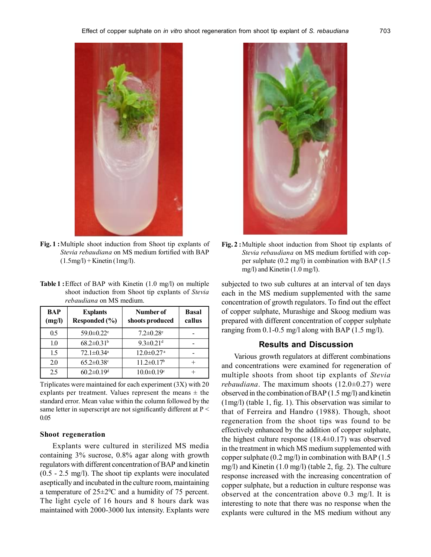

**Fig. 1 :**Multiple shoot induction from Shoot tip explants of *Stevia rebaudiana* on MS medium fortified with BAP  $(1.5\text{mg/l}) +$ Kinetin  $(1\text{mg/l})$ .

**Table 1 :**Effect of BAP with Kinetin (1.0 mg/l) on multiple shoot induction from Shoot tip explants of *Stevia rebaudiana* on MS medium.

| BAP<br>(mg/l) | <b>Explants</b><br>Responded (%) | Number of<br>shoots produced | <b>Basal</b><br>callus |
|---------------|----------------------------------|------------------------------|------------------------|
| 0.5           | $59.0 \pm 0.22$ <sup>e</sup>     | $7.2 \pm 0.28$ <sup>e</sup>  |                        |
| 1.0           | $68.2 \pm 0.31$ <sup>b</sup>     | $9.3 \pm 0.21$ <sup>d</sup>  |                        |
| 15            | $72.1 \pm 0.34$ <sup>a</sup>     | $12.0 \pm 0.27$ <sup>a</sup> |                        |
| 2.0           | $65.2 \pm 0.38$ <sup>c</sup>     | $11.2 \pm 0.17$ <sup>b</sup> |                        |
| 2.5           | $60.2 \pm 0.19$ <sup>d</sup>     | $10.0 \pm 0.19$ <sup>c</sup> |                        |

Triplicates were maintained for each experiment (3X) with 20 explants per treatment. Values represent the means  $\pm$  the standard error. Mean value within the column followed by the same letter in superscript are not significantly different at  $P \leq$ 0.05

#### **Shoot regeneration**

Explants were cultured in sterilized MS media containing 3% sucrose, 0.8% agar along with growth regulators with different concentration of BAP and kinetin (0.5 - 2.5 mg/l). The shoot tip explants were inoculated aseptically and incubated in the culture room, maintaining a temperature of  $25\pm2\degree$ C and a humidity of 75 percent. The light cycle of 16 hours and 8 hours dark was maintained with 2000-3000 lux intensity. Explants were



**Fig. 2 :**Multiple shoot induction from Shoot tip explants of *Stevia rebaudiana* on MS medium fortified with copper sulphate (0.2 mg/l) in combination with BAP (1.5 mg/l) and Kinetin (1.0 mg/l).

subjected to two sub cultures at an interval of ten days each in the MS medium supplemented with the same concentration of growth regulators. To find out the effect of copper sulphate, Murashige and Skoog medium was prepared with different concentration of copper sulphate ranging from 0.1-0.5 mg/l along with BAP (1.5 mg/l).

#### **Results and Discussion**

Various growth regulators at different combinations and concentrations were examined for regeneration of multiple shoots from shoot tip explants of *Stevia rebaudiana*. The maximum shoots (12.0±0.27) were observed in the combination of BAP (1.5 mg/l) and kinetin (1mg/l) (table 1, fig. 1). This observation was similar to that of Ferreira and Handro (1988). Though, shoot regeneration from the shoot tips was found to be effectively enhanced by the addition of copper sulphate, the highest culture response  $(18.4\pm0.17)$  was observed in the treatment in which MS medium supplemented with copper sulphate (0.2 mg/l) in combination with BAP (1.5 mg/l) and Kinetin (1.0 mg/l) (table 2, fig. 2). The culture response increased with the increasing concentration of copper sulphate, but a reduction in culture response was observed at the concentration above 0.3 mg/l. It is interesting to note that there was no response when the explants were cultured in the MS medium without any